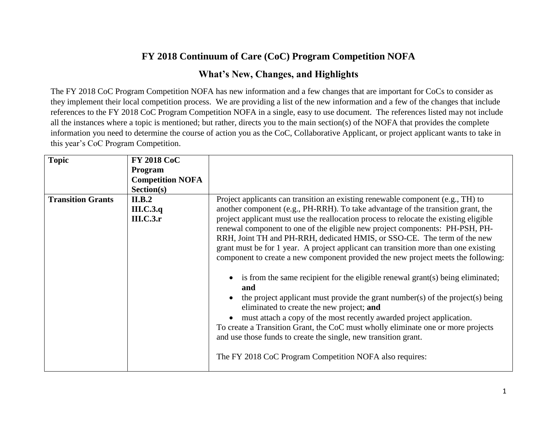## **FY 2018 Continuum of Care (CoC) Program Competition NOFA**

## **What's New, Changes, and Highlights**

The FY 2018 CoC Program Competition NOFA has new information and a few changes that are important for CoCs to consider as they implement their local competition process. We are providing a list of the new information and a few of the changes that include references to the FY 2018 CoC Program Competition NOFA in a single, easy to use document. The references listed may not include all the instances where a topic is mentioned; but rather, directs you to the main section(s) of the NOFA that provides the complete information you need to determine the course of action you as the CoC, Collaborative Applicant, or project applicant wants to take in this year's CoC Program Competition.

| <b>Topic</b>             | <b>FY 2018 CoC</b><br><b>Program</b><br><b>Competition NOFA</b> |                                                                                                                                                                                                                                                                                                                                                                                                                                                                                                                                                                                                                                                                                                                                                                                                                                                                                                                                                 |
|--------------------------|-----------------------------------------------------------------|-------------------------------------------------------------------------------------------------------------------------------------------------------------------------------------------------------------------------------------------------------------------------------------------------------------------------------------------------------------------------------------------------------------------------------------------------------------------------------------------------------------------------------------------------------------------------------------------------------------------------------------------------------------------------------------------------------------------------------------------------------------------------------------------------------------------------------------------------------------------------------------------------------------------------------------------------|
|                          | Section(s)                                                      |                                                                                                                                                                                                                                                                                                                                                                                                                                                                                                                                                                                                                                                                                                                                                                                                                                                                                                                                                 |
| <b>Transition Grants</b> | II.B.2                                                          | Project applicants can transition an existing renewable component (e.g., TH) to                                                                                                                                                                                                                                                                                                                                                                                                                                                                                                                                                                                                                                                                                                                                                                                                                                                                 |
|                          | III.C.3.q                                                       | another component (e.g., PH-RRH). To take advantage of the transition grant, the                                                                                                                                                                                                                                                                                                                                                                                                                                                                                                                                                                                                                                                                                                                                                                                                                                                                |
|                          | <b>III.C.3.r</b>                                                | project applicant must use the reallocation process to relocate the existing eligible<br>renewal component to one of the eligible new project components: PH-PSH, PH-<br>RRH, Joint TH and PH-RRH, dedicated HMIS, or SSO-CE. The term of the new<br>grant must be for 1 year. A project applicant can transition more than one existing<br>component to create a new component provided the new project meets the following:<br>is from the same recipient for the eligible renewal grant(s) being eliminated;<br>and<br>the project applicant must provide the grant number(s) of the project(s) being<br>eliminated to create the new project; and<br>must attach a copy of the most recently awarded project application.<br>To create a Transition Grant, the CoC must wholly eliminate one or more projects<br>and use those funds to create the single, new transition grant.<br>The FY 2018 CoC Program Competition NOFA also requires: |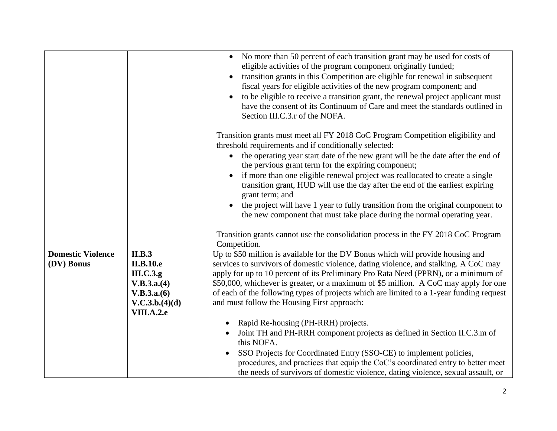|                          |                  | • No more than 50 percent of each transition grant may be used for costs of<br>eligible activities of the program component originally funded;<br>transition grants in this Competition are eligible for renewal in subsequent<br>fiscal years for eligible activities of the new program component; and<br>to be eligible to receive a transition grant, the renewal project applicant must<br>have the consent of its Continuum of Care and meet the standards outlined in<br>Section III.C.3.r of the NOFA. |
|--------------------------|------------------|----------------------------------------------------------------------------------------------------------------------------------------------------------------------------------------------------------------------------------------------------------------------------------------------------------------------------------------------------------------------------------------------------------------------------------------------------------------------------------------------------------------|
|                          |                  | Transition grants must meet all FY 2018 CoC Program Competition eligibility and                                                                                                                                                                                                                                                                                                                                                                                                                                |
|                          |                  | threshold requirements and if conditionally selected:                                                                                                                                                                                                                                                                                                                                                                                                                                                          |
|                          |                  | the operating year start date of the new grant will be the date after the end of<br>the pervious grant term for the expiring component;                                                                                                                                                                                                                                                                                                                                                                        |
|                          |                  | if more than one eligible renewal project was reallocated to create a single                                                                                                                                                                                                                                                                                                                                                                                                                                   |
|                          |                  | transition grant, HUD will use the day after the end of the earliest expiring<br>grant term; and                                                                                                                                                                                                                                                                                                                                                                                                               |
|                          |                  | the project will have 1 year to fully transition from the original component to<br>$\bullet$                                                                                                                                                                                                                                                                                                                                                                                                                   |
|                          |                  | the new component that must take place during the normal operating year.                                                                                                                                                                                                                                                                                                                                                                                                                                       |
|                          |                  | Transition grants cannot use the consolidation process in the FY 2018 CoC Program<br>Competition.                                                                                                                                                                                                                                                                                                                                                                                                              |
| <b>Domestic Violence</b> | II.B.3           | Up to \$50 million is available for the DV Bonus which will provide housing and                                                                                                                                                                                                                                                                                                                                                                                                                                |
| (DV) Bonus               | <b>II.B.10.e</b> | services to survivors of domestic violence, dating violence, and stalking. A CoC may                                                                                                                                                                                                                                                                                                                                                                                                                           |
|                          | III.C.3.g.       | apply for up to 10 percent of its Preliminary Pro Rata Need (PPRN), or a minimum of                                                                                                                                                                                                                                                                                                                                                                                                                            |
|                          | V.B.3.a.(4)      | \$50,000, whichever is greater, or a maximum of \$5 million. A CoC may apply for one                                                                                                                                                                                                                                                                                                                                                                                                                           |
|                          | V.B.3.a.(6)      | of each of the following types of projects which are limited to a 1-year funding request                                                                                                                                                                                                                                                                                                                                                                                                                       |
|                          | V.C.3.b.(4)(d)   | and must follow the Housing First approach:                                                                                                                                                                                                                                                                                                                                                                                                                                                                    |
|                          | VIII.A.2.e       |                                                                                                                                                                                                                                                                                                                                                                                                                                                                                                                |
|                          |                  | Rapid Re-housing (PH-RRH) projects.                                                                                                                                                                                                                                                                                                                                                                                                                                                                            |
|                          |                  | Joint TH and PH-RRH component projects as defined in Section II.C.3.m of<br>this NOFA.                                                                                                                                                                                                                                                                                                                                                                                                                         |
|                          |                  | SSO Projects for Coordinated Entry (SSO-CE) to implement policies,                                                                                                                                                                                                                                                                                                                                                                                                                                             |
|                          |                  | procedures, and practices that equip the CoC's coordinated entry to better meet                                                                                                                                                                                                                                                                                                                                                                                                                                |
|                          |                  | the needs of survivors of domestic violence, dating violence, sexual assault, or                                                                                                                                                                                                                                                                                                                                                                                                                               |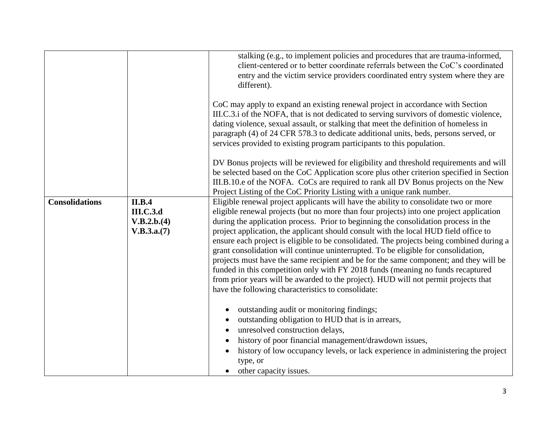|                       |                  | stalking (e.g., to implement policies and procedures that are trauma-informed,<br>client-centered or to better coordinate referrals between the CoC's coordinated<br>entry and the victim service providers coordinated entry system where they are<br>different).                                                                                                                                                                  |
|-----------------------|------------------|-------------------------------------------------------------------------------------------------------------------------------------------------------------------------------------------------------------------------------------------------------------------------------------------------------------------------------------------------------------------------------------------------------------------------------------|
|                       |                  | CoC may apply to expand an existing renewal project in accordance with Section<br>III.C.3.i of the NOFA, that is not dedicated to serving survivors of domestic violence,<br>dating violence, sexual assault, or stalking that meet the definition of homeless in<br>paragraph (4) of 24 CFR 578.3 to dedicate additional units, beds, persons served, or<br>services provided to existing program participants to this population. |
|                       |                  | DV Bonus projects will be reviewed for eligibility and threshold requirements and will<br>be selected based on the CoC Application score plus other criterion specified in Section<br>III.B.10.e of the NOFA. CoCs are required to rank all DV Bonus projects on the New<br>Project Listing of the CoC Priority Listing with a unique rank number.                                                                                  |
| <b>Consolidations</b> | <b>II.B.4</b>    | Eligible renewal project applicants will have the ability to consolidate two or more                                                                                                                                                                                                                                                                                                                                                |
|                       | <b>III.C.3.d</b> | eligible renewal projects (but no more than four projects) into one project application                                                                                                                                                                                                                                                                                                                                             |
|                       | V.B.2.b.(4)      | during the application process. Prior to beginning the consolidation process in the                                                                                                                                                                                                                                                                                                                                                 |
|                       | V.B.3.a.(7)      | project application, the applicant should consult with the local HUD field office to                                                                                                                                                                                                                                                                                                                                                |
|                       |                  | ensure each project is eligible to be consolidated. The projects being combined during a                                                                                                                                                                                                                                                                                                                                            |
|                       |                  | grant consolidation will continue uninterrupted. To be eligible for consolidation,                                                                                                                                                                                                                                                                                                                                                  |
|                       |                  | projects must have the same recipient and be for the same component; and they will be                                                                                                                                                                                                                                                                                                                                               |
|                       |                  | funded in this competition only with FY 2018 funds (meaning no funds recaptured                                                                                                                                                                                                                                                                                                                                                     |
|                       |                  | from prior years will be awarded to the project). HUD will not permit projects that<br>have the following characteristics to consolidate:                                                                                                                                                                                                                                                                                           |
|                       |                  |                                                                                                                                                                                                                                                                                                                                                                                                                                     |
|                       |                  | outstanding audit or monitoring findings;                                                                                                                                                                                                                                                                                                                                                                                           |
|                       |                  | outstanding obligation to HUD that is in arrears,                                                                                                                                                                                                                                                                                                                                                                                   |
|                       |                  | unresolved construction delays,                                                                                                                                                                                                                                                                                                                                                                                                     |
|                       |                  | history of poor financial management/drawdown issues,                                                                                                                                                                                                                                                                                                                                                                               |
|                       |                  | history of low occupancy levels, or lack experience in administering the project                                                                                                                                                                                                                                                                                                                                                    |
|                       |                  | type, or                                                                                                                                                                                                                                                                                                                                                                                                                            |
|                       |                  | other capacity issues.                                                                                                                                                                                                                                                                                                                                                                                                              |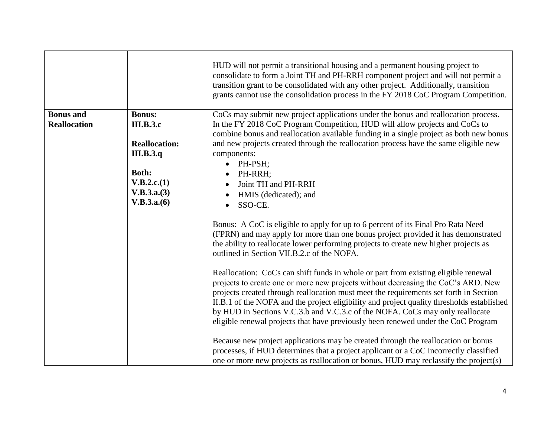|                     |                      | HUD will not permit a transitional housing and a permanent housing project to<br>consolidate to form a Joint TH and PH-RRH component project and will not permit a<br>transition grant to be consolidated with any other project. Additionally, transition<br>grants cannot use the consolidation process in the FY 2018 CoC Program Competition.                                                                                                                                                                                  |
|---------------------|----------------------|------------------------------------------------------------------------------------------------------------------------------------------------------------------------------------------------------------------------------------------------------------------------------------------------------------------------------------------------------------------------------------------------------------------------------------------------------------------------------------------------------------------------------------|
| <b>Bonus</b> and    | <b>Bonus:</b>        | CoCs may submit new project applications under the bonus and reallocation process.                                                                                                                                                                                                                                                                                                                                                                                                                                                 |
| <b>Reallocation</b> | <b>III.B.3.c</b>     | In the FY 2018 CoC Program Competition, HUD will allow projects and CoCs to                                                                                                                                                                                                                                                                                                                                                                                                                                                        |
|                     | <b>Reallocation:</b> | combine bonus and reallocation available funding in a single project as both new bonus                                                                                                                                                                                                                                                                                                                                                                                                                                             |
|                     | <b>III.B.3.q</b>     | and new projects created through the reallocation process have the same eligible new<br>components:                                                                                                                                                                                                                                                                                                                                                                                                                                |
|                     |                      | PH-PSH;<br>$\bullet$                                                                                                                                                                                                                                                                                                                                                                                                                                                                                                               |
|                     | <b>Both:</b>         | PH-RRH;                                                                                                                                                                                                                                                                                                                                                                                                                                                                                                                            |
|                     | V.B.2.c.(1)          | Joint TH and PH-RRH                                                                                                                                                                                                                                                                                                                                                                                                                                                                                                                |
|                     | V.B.3.a.(3)          | HMIS (dedicated); and                                                                                                                                                                                                                                                                                                                                                                                                                                                                                                              |
|                     | V.B.3.a.(6)          | SSO-CE.<br>$\bullet$                                                                                                                                                                                                                                                                                                                                                                                                                                                                                                               |
|                     |                      | Bonus: A CoC is eligible to apply for up to 6 percent of its Final Pro Rata Need<br>(FPRN) and may apply for more than one bonus project provided it has demonstrated<br>the ability to reallocate lower performing projects to create new higher projects as<br>outlined in Section VII.B.2.c of the NOFA.                                                                                                                                                                                                                        |
|                     |                      | Reallocation: CoCs can shift funds in whole or part from existing eligible renewal<br>projects to create one or more new projects without decreasing the CoC's ARD. New<br>projects created through reallocation must meet the requirements set forth in Section<br>II.B.1 of the NOFA and the project eligibility and project quality thresholds established<br>by HUD in Sections V.C.3.b and V.C.3.c of the NOFA. CoCs may only reallocate<br>eligible renewal projects that have previously been renewed under the CoC Program |
|                     |                      | Because new project applications may be created through the reallocation or bonus<br>processes, if HUD determines that a project applicant or a CoC incorrectly classified<br>one or more new projects as reallocation or bonus, HUD may reclassify the project(s)                                                                                                                                                                                                                                                                 |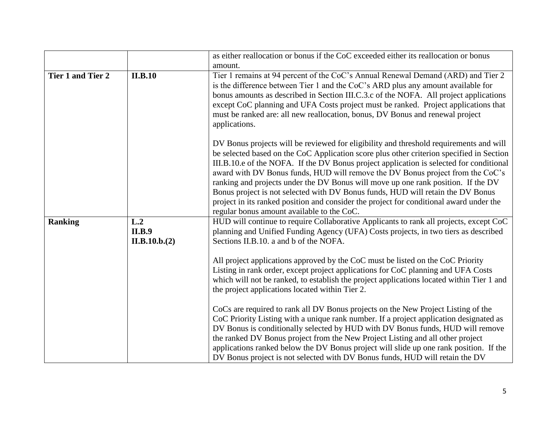|                          |                                       | as either reallocation or bonus if the CoC exceeded either its reallocation or bonus                                                                                                                                                                                                                                                                                                                                                                                                                                                                                                                                                                                             |
|--------------------------|---------------------------------------|----------------------------------------------------------------------------------------------------------------------------------------------------------------------------------------------------------------------------------------------------------------------------------------------------------------------------------------------------------------------------------------------------------------------------------------------------------------------------------------------------------------------------------------------------------------------------------------------------------------------------------------------------------------------------------|
|                          |                                       | amount.                                                                                                                                                                                                                                                                                                                                                                                                                                                                                                                                                                                                                                                                          |
| <b>Tier 1 and Tier 2</b> | <b>II.B.10</b>                        | Tier 1 remains at 94 percent of the CoC's Annual Renewal Demand (ARD) and Tier 2<br>is the difference between Tier 1 and the CoC's ARD plus any amount available for<br>bonus amounts as described in Section III.C.3.c of the NOFA. All project applications<br>except CoC planning and UFA Costs project must be ranked. Project applications that<br>must be ranked are: all new reallocation, bonus, DV Bonus and renewal project<br>applications.                                                                                                                                                                                                                           |
|                          |                                       | DV Bonus projects will be reviewed for eligibility and threshold requirements and will<br>be selected based on the CoC Application score plus other criterion specified in Section<br>III.B.10.e of the NOFA. If the DV Bonus project application is selected for conditional<br>award with DV Bonus funds, HUD will remove the DV Bonus project from the CoC's<br>ranking and projects under the DV Bonus will move up one rank position. If the DV<br>Bonus project is not selected with DV Bonus funds, HUD will retain the DV Bonus<br>project in its ranked position and consider the project for conditional award under the<br>regular bonus amount available to the CoC. |
| <b>Ranking</b>           | L.2<br><b>II.B.9</b><br>II.B.10.b.(2) | HUD will continue to require Collaborative Applicants to rank all projects, except CoC<br>planning and Unified Funding Agency (UFA) Costs projects, in two tiers as described<br>Sections II.B.10. a and b of the NOFA.                                                                                                                                                                                                                                                                                                                                                                                                                                                          |
|                          |                                       | All project applications approved by the CoC must be listed on the CoC Priority<br>Listing in rank order, except project applications for CoC planning and UFA Costs<br>which will not be ranked, to establish the project applications located within Tier 1 and<br>the project applications located within Tier 2.                                                                                                                                                                                                                                                                                                                                                             |
|                          |                                       | CoCs are required to rank all DV Bonus projects on the New Project Listing of the<br>CoC Priority Listing with a unique rank number. If a project application designated as<br>DV Bonus is conditionally selected by HUD with DV Bonus funds, HUD will remove<br>the ranked DV Bonus project from the New Project Listing and all other project<br>applications ranked below the DV Bonus project will slide up one rank position. If the<br>DV Bonus project is not selected with DV Bonus funds, HUD will retain the DV                                                                                                                                                        |